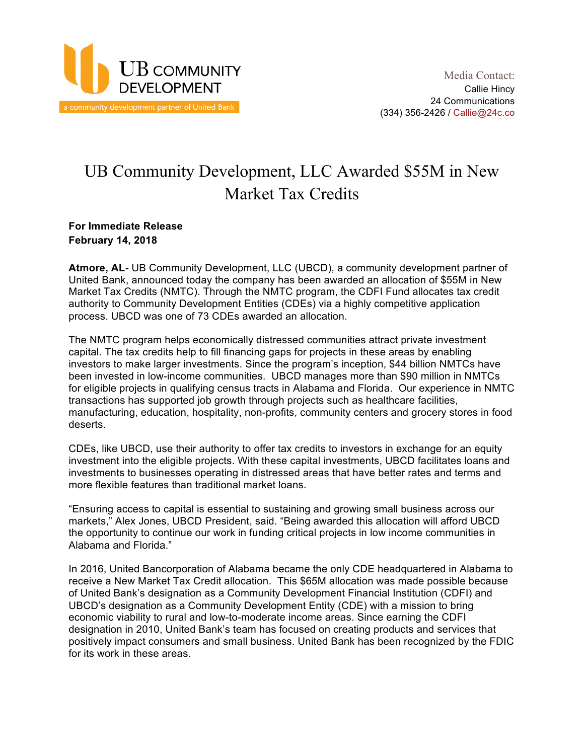

# UB Community Development, LLC Awarded \$55M in New Market Tax Credits

# **For Immediate Release February 14, 2018**

**Atmore, AL-** UB Community Development, LLC (UBCD), a community development partner of United Bank, announced today the company has been awarded an allocation of \$55M in New Market Tax Credits (NMTC). Through the NMTC program, the CDFI Fund allocates tax credit authority to Community Development Entities (CDEs) via a highly competitive application process. UBCD was one of 73 CDEs awarded an allocation.

The NMTC program helps economically distressed communities attract private investment capital. The tax credits help to fill financing gaps for projects in these areas by enabling investors to make larger investments. Since the program's inception, \$44 billion NMTCs have been invested in low-income communities. UBCD manages more than \$90 million in NMTCs for eligible projects in qualifying census tracts in Alabama and Florida. Our experience in NMTC transactions has supported job growth through projects such as healthcare facilities, manufacturing, education, hospitality, non-profits, community centers and grocery stores in food deserts.

CDEs, like UBCD, use their authority to offer tax credits to investors in exchange for an equity investment into the eligible projects. With these capital investments, UBCD facilitates loans and investments to businesses operating in distressed areas that have better rates and terms and more flexible features than traditional market loans.

"Ensuring access to capital is essential to sustaining and growing small business across our markets," Alex Jones, UBCD President, said. "Being awarded this allocation will afford UBCD the opportunity to continue our work in funding critical projects in low income communities in Alabama and Florida."

In 2016, United Bancorporation of Alabama became the only CDE headquartered in Alabama to receive a New Market Tax Credit allocation. This \$65M allocation was made possible because of United Bank's designation as a Community Development Financial Institution (CDFI) and UBCD's designation as a Community Development Entity (CDE) with a mission to bring economic viability to rural and low-to-moderate income areas. Since earning the CDFI designation in 2010, United Bank's team has focused on creating products and services that positively impact consumers and small business. United Bank has been recognized by the FDIC for its work in these areas.